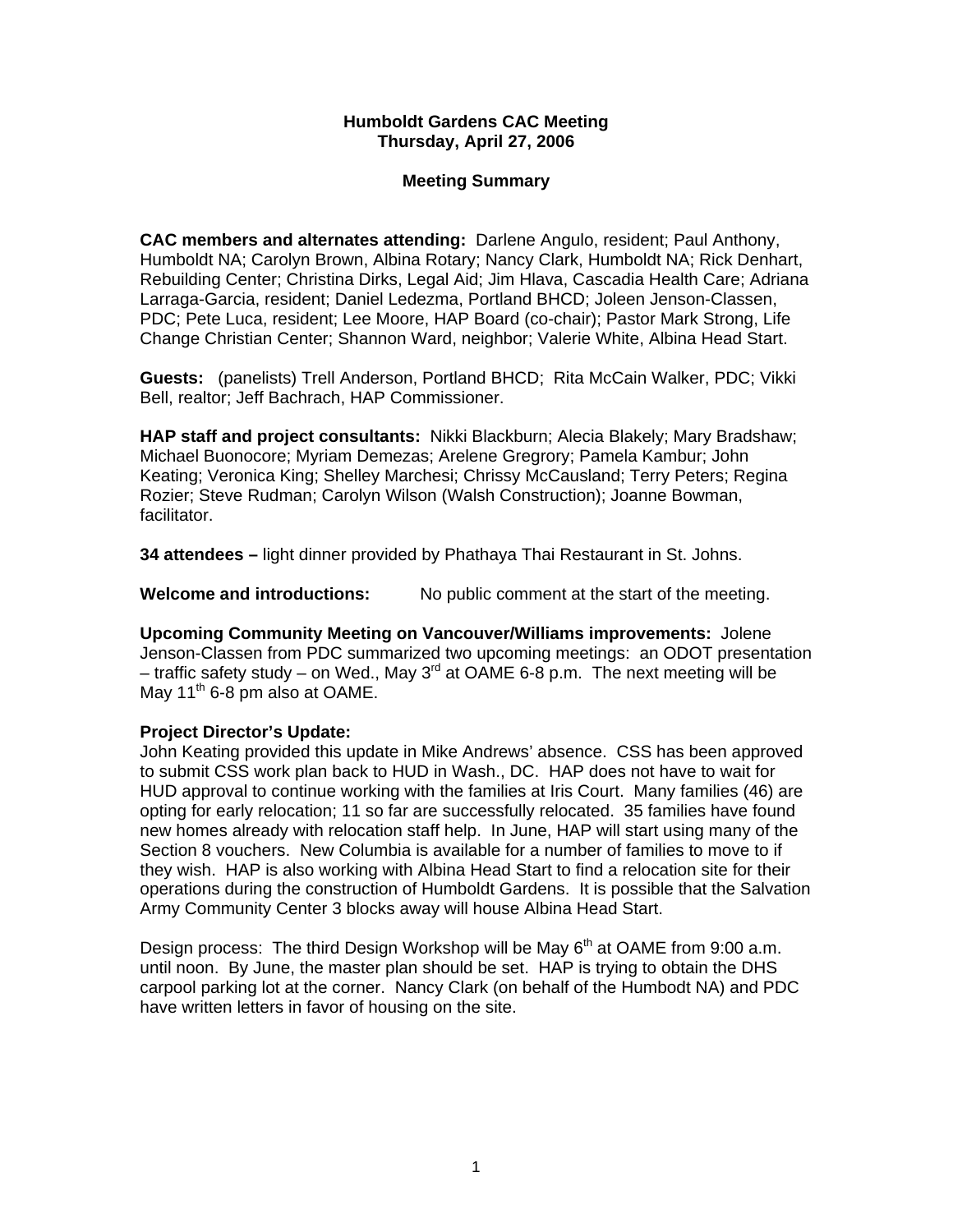## **Humboldt Gardens CAC Meeting Thursday, April 27, 2006**

## **Meeting Summary**

**CAC members and alternates attending:** Darlene Angulo, resident; Paul Anthony, Humboldt NA; Carolyn Brown, Albina Rotary; Nancy Clark, Humboldt NA; Rick Denhart, Rebuilding Center; Christina Dirks, Legal Aid; Jim Hlava, Cascadia Health Care; Adriana Larraga-Garcia, resident; Daniel Ledezma, Portland BHCD; Joleen Jenson-Classen, PDC; Pete Luca, resident; Lee Moore, HAP Board (co-chair); Pastor Mark Strong, Life Change Christian Center; Shannon Ward, neighbor; Valerie White, Albina Head Start.

**Guests:** (panelists) Trell Anderson, Portland BHCD; Rita McCain Walker, PDC; Vikki Bell, realtor; Jeff Bachrach, HAP Commissioner.

**HAP staff and project consultants:** Nikki Blackburn; Alecia Blakely; Mary Bradshaw; Michael Buonocore; Myriam Demezas; Arelene Gregrory; Pamela Kambur; John Keating; Veronica King; Shelley Marchesi; Chrissy McCausland; Terry Peters; Regina Rozier; Steve Rudman; Carolyn Wilson (Walsh Construction); Joanne Bowman, facilitator.

**34 attendees –** light dinner provided by Phathaya Thai Restaurant in St. Johns.

**Welcome and introductions:** No public comment at the start of the meeting.

**Upcoming Community Meeting on Vancouver/Williams improvements:** Jolene Jenson-Classen from PDC summarized two upcoming meetings: an ODOT presentation – traffic safety study – on Wed., May 3<sup>rd</sup> at OAME 6-8 p.m. The next meeting will be May  $11<sup>th</sup>$  6-8 pm also at OAME.

# **Project Director's Update:**

John Keating provided this update in Mike Andrews' absence. CSS has been approved to submit CSS work plan back to HUD in Wash., DC. HAP does not have to wait for HUD approval to continue working with the families at Iris Court. Many families (46) are opting for early relocation; 11 so far are successfully relocated. 35 families have found new homes already with relocation staff help. In June, HAP will start using many of the Section 8 vouchers. New Columbia is available for a number of families to move to if they wish. HAP is also working with Albina Head Start to find a relocation site for their operations during the construction of Humboldt Gardens. It is possible that the Salvation Army Community Center 3 blocks away will house Albina Head Start.

Design process: The third Design Workshop will be May  $6<sup>th</sup>$  at OAME from 9:00 a.m. until noon. By June, the master plan should be set. HAP is trying to obtain the DHS carpool parking lot at the corner. Nancy Clark (on behalf of the Humbodt NA) and PDC have written letters in favor of housing on the site.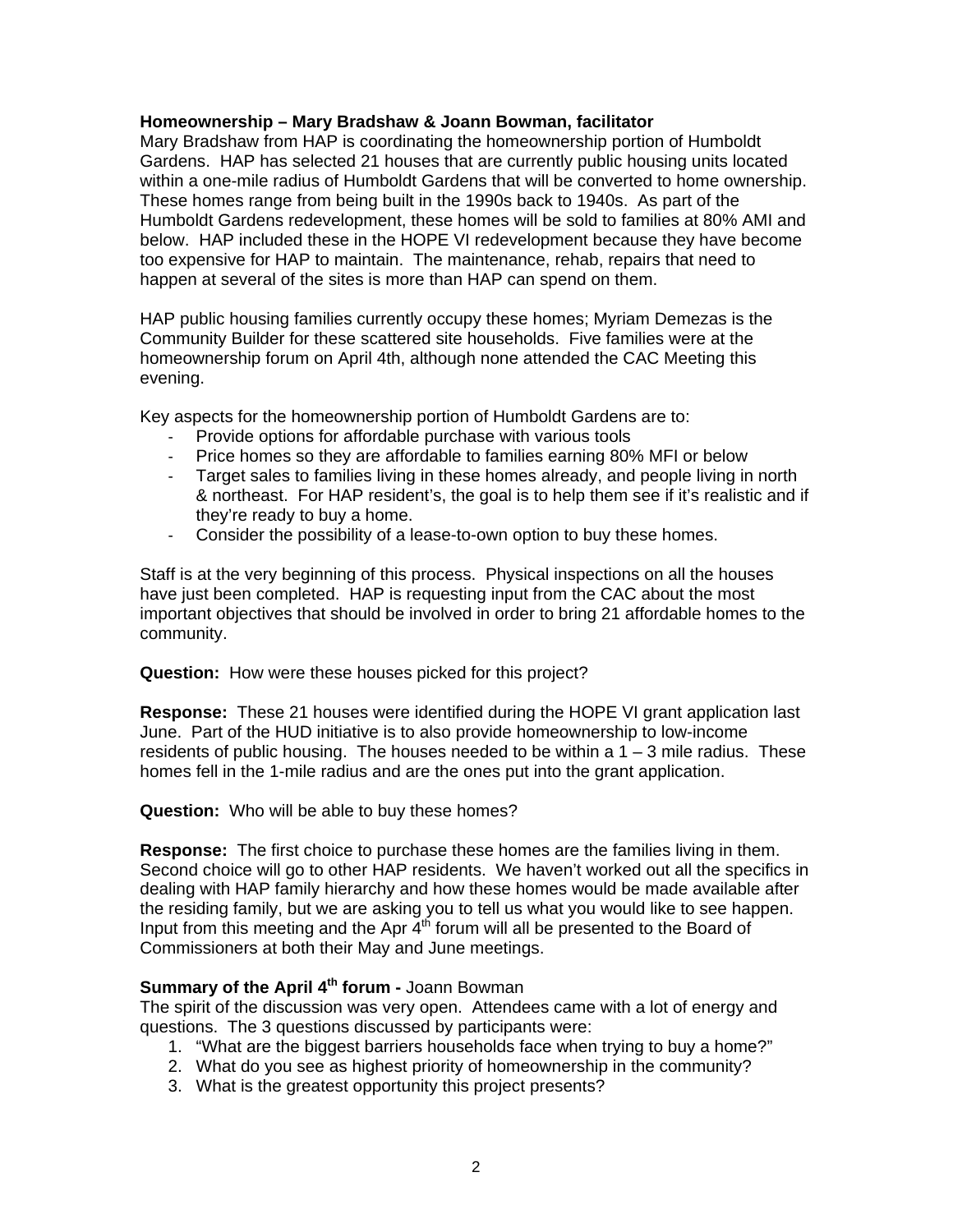#### **Homeownership – Mary Bradshaw & Joann Bowman, facilitator**

Mary Bradshaw from HAP is coordinating the homeownership portion of Humboldt Gardens. HAP has selected 21 houses that are currently public housing units located within a one-mile radius of Humboldt Gardens that will be converted to home ownership. These homes range from being built in the 1990s back to 1940s. As part of the Humboldt Gardens redevelopment, these homes will be sold to families at 80% AMI and below. HAP included these in the HOPE VI redevelopment because they have become too expensive for HAP to maintain. The maintenance, rehab, repairs that need to happen at several of the sites is more than HAP can spend on them.

HAP public housing families currently occupy these homes; Myriam Demezas is the Community Builder for these scattered site households. Five families were at the homeownership forum on April 4th, although none attended the CAC Meeting this evening.

Key aspects for the homeownership portion of Humboldt Gardens are to:

- Provide options for affordable purchase with various tools
- Price homes so they are affordable to families earning 80% MFI or below
- Target sales to families living in these homes already, and people living in north & northeast. For HAP resident's, the goal is to help them see if it's realistic and if they're ready to buy a home.
- Consider the possibility of a lease-to-own option to buy these homes.

Staff is at the very beginning of this process. Physical inspections on all the houses have just been completed. HAP is requesting input from the CAC about the most important objectives that should be involved in order to bring 21 affordable homes to the community.

**Question:** How were these houses picked for this project?

**Response:** These 21 houses were identified during the HOPE VI grant application last June. Part of the HUD initiative is to also provide homeownership to low-income residents of public housing. The houses needed to be within a 1 – 3 mile radius. These homes fell in the 1-mile radius and are the ones put into the grant application.

**Question:** Who will be able to buy these homes?

**Response:** The first choice to purchase these homes are the families living in them. Second choice will go to other HAP residents. We haven't worked out all the specifics in dealing with HAP family hierarchy and how these homes would be made available after the residing family, but we are asking you to tell us what you would like to see happen. Input from this meeting and the Apr  $4<sup>th</sup>$  forum will all be presented to the Board of Commissioners at both their May and June meetings.

# **Summary of the April 4th forum -** Joann Bowman

The spirit of the discussion was very open. Attendees came with a lot of energy and questions. The 3 questions discussed by participants were:

- 1. "What are the biggest barriers households face when trying to buy a home?"
- 2. What do you see as highest priority of homeownership in the community?
- 3. What is the greatest opportunity this project presents?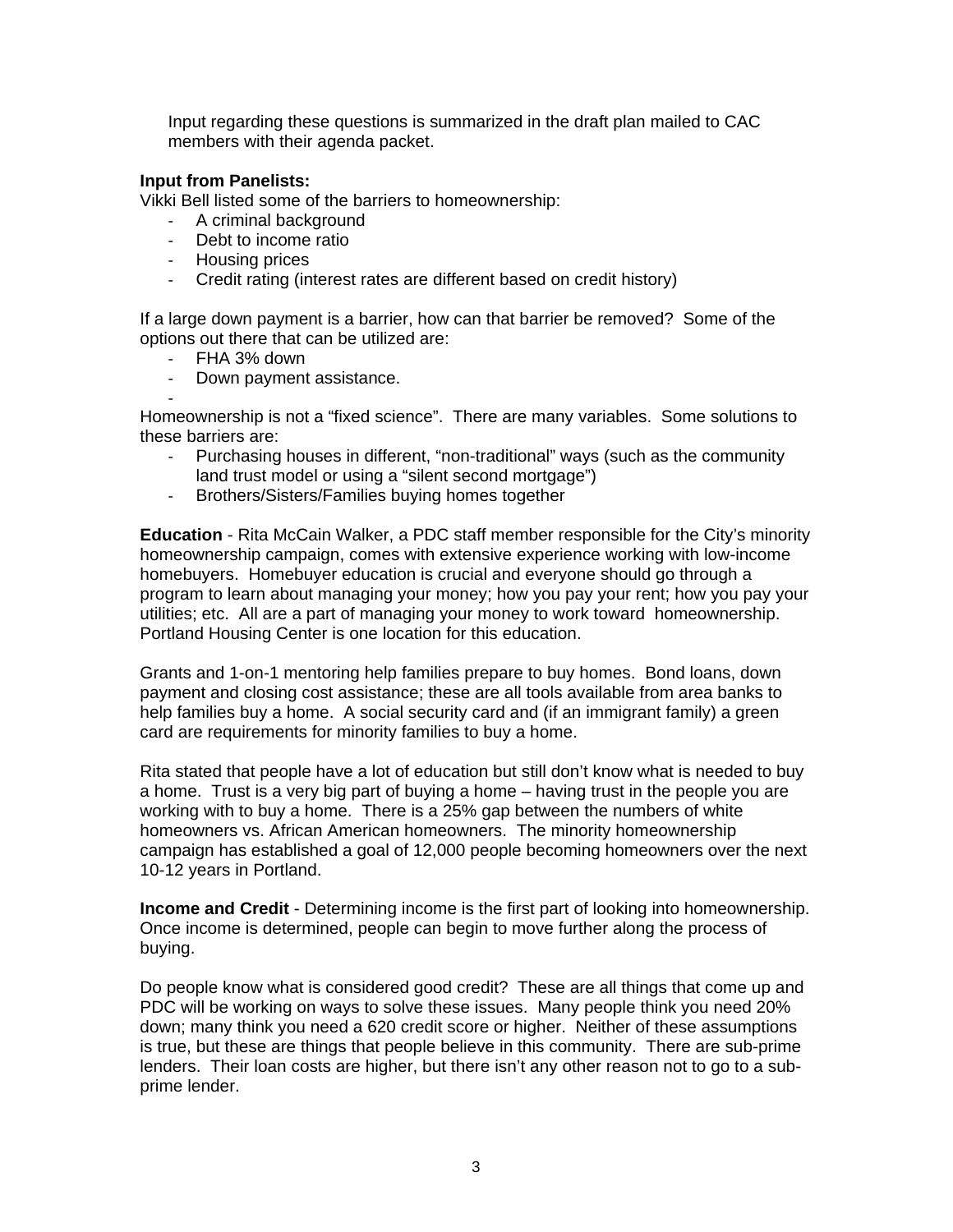Input regarding these questions is summarized in the draft plan mailed to CAC members with their agenda packet.

#### **Input from Panelists:**

Vikki Bell listed some of the barriers to homeownership:

- A criminal background
- Debt to income ratio
- Housing prices
- Credit rating (interest rates are different based on credit history)

If a large down payment is a barrier, how can that barrier be removed? Some of the options out there that can be utilized are:

- FHA 3% down
- Down payment assistance.

- Homeownership is not a "fixed science". There are many variables. Some solutions to these barriers are:

- Purchasing houses in different, "non-traditional" ways (such as the community land trust model or using a "silent second mortgage")
- Brothers/Sisters/Families buying homes together

**Education** - Rita McCain Walker, a PDC staff member responsible for the City's minority homeownership campaign, comes with extensive experience working with low-income homebuyers. Homebuyer education is crucial and everyone should go through a program to learn about managing your money; how you pay your rent; how you pay your utilities; etc. All are a part of managing your money to work toward homeownership. Portland Housing Center is one location for this education.

Grants and 1-on-1 mentoring help families prepare to buy homes. Bond loans, down payment and closing cost assistance; these are all tools available from area banks to help families buy a home. A social security card and (if an immigrant family) a green card are requirements for minority families to buy a home.

Rita stated that people have a lot of education but still don't know what is needed to buy a home. Trust is a very big part of buying a home – having trust in the people you are working with to buy a home. There is a 25% gap between the numbers of white homeowners vs. African American homeowners. The minority homeownership campaign has established a goal of 12,000 people becoming homeowners over the next 10-12 years in Portland.

**Income and Credit** - Determining income is the first part of looking into homeownership. Once income is determined, people can begin to move further along the process of buying.

Do people know what is considered good credit? These are all things that come up and PDC will be working on ways to solve these issues. Many people think you need 20% down; many think you need a 620 credit score or higher. Neither of these assumptions is true, but these are things that people believe in this community. There are sub-prime lenders. Their loan costs are higher, but there isn't any other reason not to go to a subprime lender.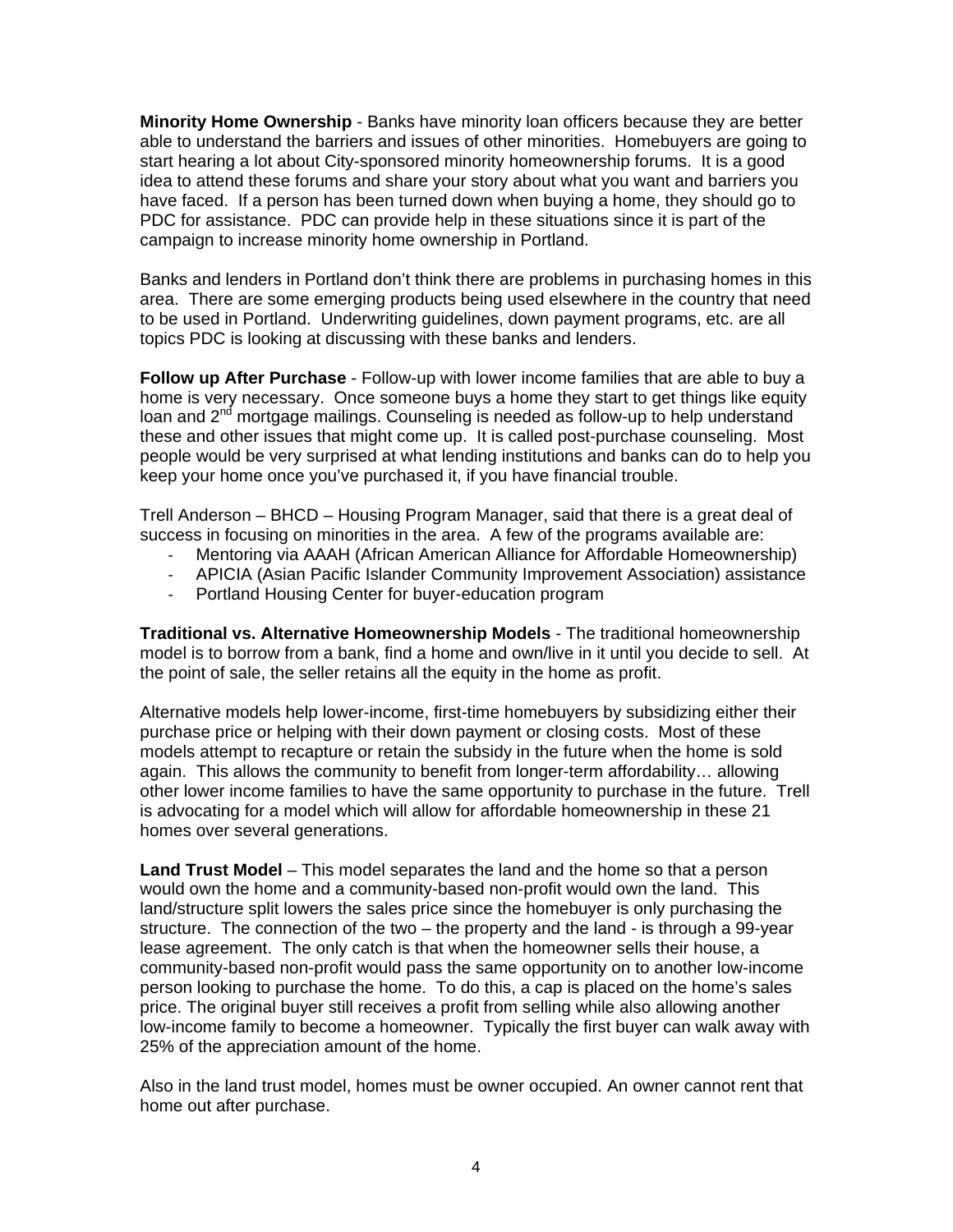**Minority Home Ownership** - Banks have minority loan officers because they are better able to understand the barriers and issues of other minorities. Homebuyers are going to start hearing a lot about City-sponsored minority homeownership forums. It is a good idea to attend these forums and share your story about what you want and barriers you have faced. If a person has been turned down when buying a home, they should go to PDC for assistance. PDC can provide help in these situations since it is part of the campaign to increase minority home ownership in Portland.

Banks and lenders in Portland don't think there are problems in purchasing homes in this area. There are some emerging products being used elsewhere in the country that need to be used in Portland. Underwriting guidelines, down payment programs, etc. are all topics PDC is looking at discussing with these banks and lenders.

**Follow up After Purchase** - Follow-up with lower income families that are able to buy a home is very necessary. Once someone buys a home they start to get things like equity loan and 2<sup>nd</sup> mortgage mailings. Counseling is needed as follow-up to help understand these and other issues that might come up. It is called post-purchase counseling. Most people would be very surprised at what lending institutions and banks can do to help you keep your home once you've purchased it, if you have financial trouble.

Trell Anderson – BHCD – Housing Program Manager, said that there is a great deal of success in focusing on minorities in the area. A few of the programs available are:

- Mentoring via AAAH (African American Alliance for Affordable Homeownership)
- APICIA (Asian Pacific Islander Community Improvement Association) assistance
- Portland Housing Center for buyer-education program

**Traditional vs. Alternative Homeownership Models** - The traditional homeownership model is to borrow from a bank, find a home and own/live in it until you decide to sell. At the point of sale, the seller retains all the equity in the home as profit.

Alternative models help lower-income, first-time homebuyers by subsidizing either their purchase price or helping with their down payment or closing costs. Most of these models attempt to recapture or retain the subsidy in the future when the home is sold again. This allows the community to benefit from longer-term affordability… allowing other lower income families to have the same opportunity to purchase in the future. Trell is advocating for a model which will allow for affordable homeownership in these 21 homes over several generations.

**Land Trust Model** – This model separates the land and the home so that a person would own the home and a community-based non-profit would own the land. This land/structure split lowers the sales price since the homebuyer is only purchasing the structure. The connection of the two – the property and the land - is through a 99-year lease agreement. The only catch is that when the homeowner sells their house, a community-based non-profit would pass the same opportunity on to another low-income person looking to purchase the home. To do this, a cap is placed on the home's sales price. The original buyer still receives a profit from selling while also allowing another low-income family to become a homeowner. Typically the first buyer can walk away with 25% of the appreciation amount of the home.

Also in the land trust model, homes must be owner occupied. An owner cannot rent that home out after purchase.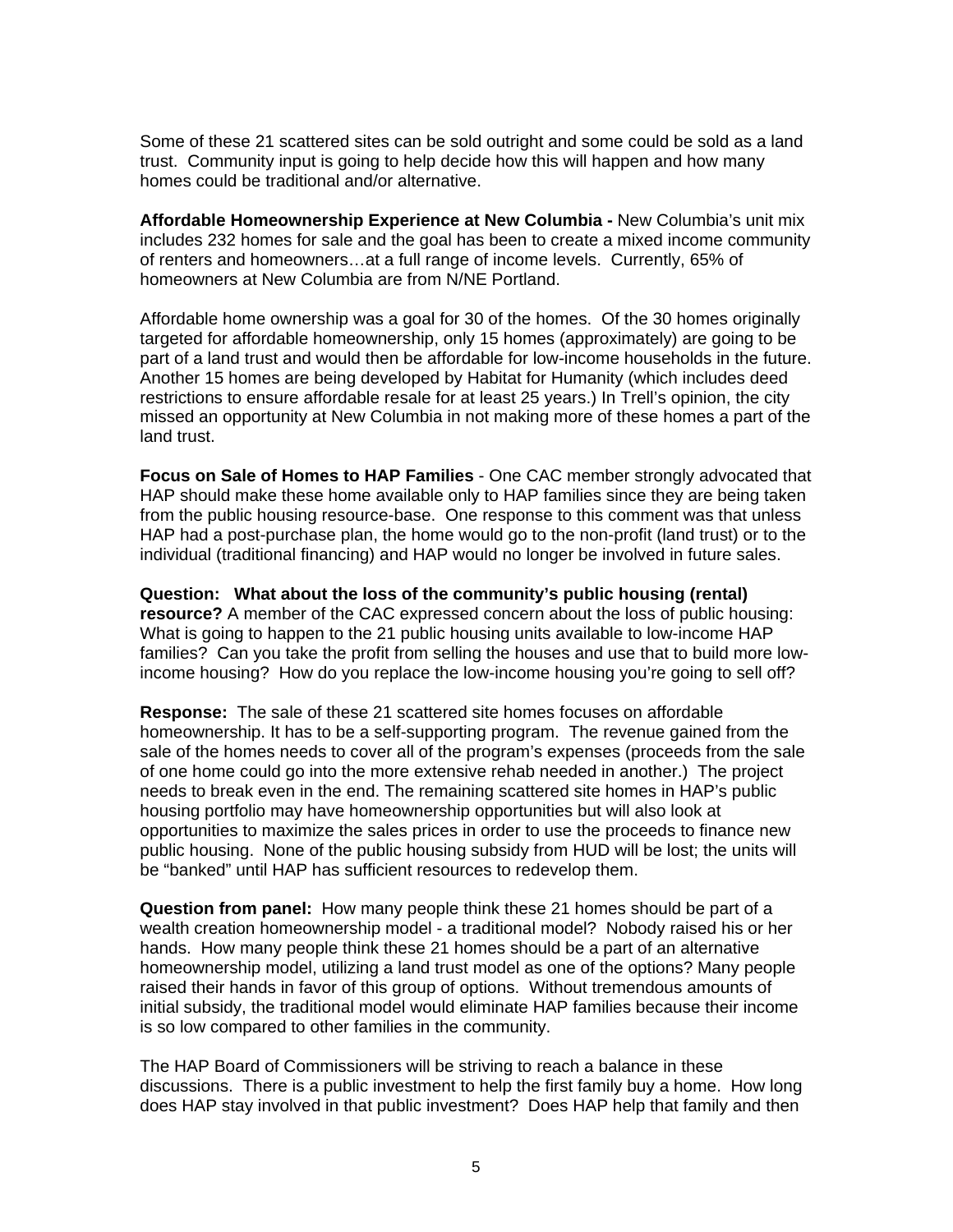Some of these 21 scattered sites can be sold outright and some could be sold as a land trust. Community input is going to help decide how this will happen and how many homes could be traditional and/or alternative.

**Affordable Homeownership Experience at New Columbia -** New Columbia's unit mix includes 232 homes for sale and the goal has been to create a mixed income community of renters and homeowners…at a full range of income levels.Currently, 65% of homeowners at New Columbia are from N/NE Portland.

Affordable home ownership was a goal for 30 of the homes. Of the 30 homes originally targeted for affordable homeownership, only 15 homes (approximately) are going to be part of a land trust and would then be affordable for low-income households in the future. Another 15 homes are being developed by Habitat for Humanity (which includes deed restrictions to ensure affordable resale for at least 25 years.) In Trell's opinion, the city missed an opportunity at New Columbia in not making more of these homes a part of the land trust.

**Focus on Sale of Homes to HAP Families** - One CAC member strongly advocated that HAP should make these home available only to HAP families since they are being taken from the public housing resource-base. One response to this comment was that unless HAP had a post-purchase plan, the home would go to the non-profit (land trust) or to the individual (traditional financing) and HAP would no longer be involved in future sales.

**Question: What about the loss of the community's public housing (rental) resource?** A member of the CAC expressed concern about the loss of public housing: What is going to happen to the 21 public housing units available to low-income HAP families? Can you take the profit from selling the houses and use that to build more lowincome housing? How do you replace the low-income housing you're going to sell off?

**Response:** The sale of these 21 scattered site homes focuses on affordable homeownership. It has to be a self-supporting program. The revenue gained from the sale of the homes needs to cover all of the program's expenses (proceeds from the sale of one home could go into the more extensive rehab needed in another.) The project needs to break even in the end. The remaining scattered site homes in HAP's public housing portfolio may have homeownership opportunities but will also look at opportunities to maximize the sales prices in order to use the proceeds to finance new public housing. None of the public housing subsidy from HUD will be lost; the units will be "banked" until HAP has sufficient resources to redevelop them.

**Question from panel:** How many people think these 21 homes should be part of a wealth creation homeownership model - a traditional model? Nobody raised his or her hands. How many people think these 21 homes should be a part of an alternative homeownership model, utilizing a land trust model as one of the options? Many people raised their hands in favor of this group of options. Without tremendous amounts of initial subsidy, the traditional model would eliminate HAP families because their income is so low compared to other families in the community.

The HAP Board of Commissioners will be striving to reach a balance in these discussions. There is a public investment to help the first family buy a home. How long does HAP stay involved in that public investment? Does HAP help that family and then